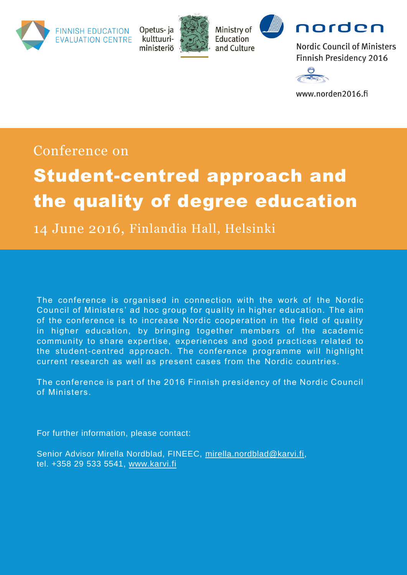

Opetus- ja kulttuuriministeriö





**Nordic Council of Ministers Finnish Presidency 2016** 

www.norden2016.fi

# Conference on

# Student-centred approach and the quality of degree education

14 June 2016, Finlandia Hall, Helsinki

The conference is organised in connection with the work of the Nordic Council of Ministers' ad hoc group for quality in higher education. The aim of the conference is to increase Nordic cooperation in the field of quality in higher education, by bringing together members of the academic community to share expertise, experiences and good practices related to the student-centred approach. The conference programme will highlight current research as well as present cases from the Nordic countries.

The conference is part of the 2016 Finnish presidency of the Nordic Council of Ministers.

For further information, please contact:

Senior Advisor Mirella Nordblad, FINEEC, [mirella.nordblad@karvi.fi,](mailto:mirella.nordblad@karvi.fi) tel. +358 29 533 5541, [www.karvi.fi](http://www.karvi.fi/)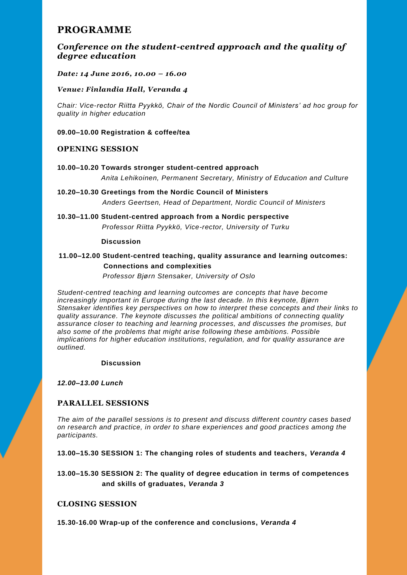# **PROGRAMME**

### *Conference on the student-centred approach and the quality of degree education*

#### *Date: 14 June 2016, 10.00 – 16.00*

#### *Venue: Finlandia Hall, Veranda 4*

*Chair: Vice-rector Riitta Pyykkö, Chair of the Nordic Council of Ministers' ad hoc group for quality in higher education*

#### **09.00–10.00 Registration & coffee/tea**

#### **OPENING SESSION**

**10.00–10.20 Towards stronger student-centred approach**

 *Anita Lehikoinen, Permanent Secretary, Ministry of Education and Culture*

- **10.20–10.30 Greetings from the Nordic Council of Ministers** *Anders Geertsen, Head of Department, Nordic Council of Ministers*
- **10.30–11.00 Student-centred approach from a Nordic perspective**  *Professor Riitta Pyykkö, Vice-rector, University of Turku*

#### **Discussion**

#### **11.00–12.00 Student-centred teaching, quality assurance and learning outcomes: Connections and complexities**

*Professor Bjørn Stensaker, University of Oslo*

*Student-centred teaching and learning outcomes are concepts that have become increasingly important in Europe during the last decade. In this keynote, Bjørn Stensaker identifies key perspectives on how to interpret these concepts and their links to quality assurance. The keynote discusses the political ambitions of connecting quality assurance closer to teaching and learning processes, and discusses the promises, but also some of the problems that might arise following these ambitions. Possible implications for higher education institutions, regulation, and for quality assurance are outlined.*

#### **Discussion**

#### *12.00–13.00 Lunch*

#### **PARALLEL SESSIONS**

*The aim of the parallel sessions is to present and discuss different country cases based on research and practice, in order to share experiences and good practices among the participants.*

**13.00–15.30 SESSION 1: The changing roles of students and teachers,** *Veranda 4*

**13.00–15.30 SESSION 2: The quality of degree education in terms of competences and skills of graduates,** *Veranda 3* 

#### **CLOSING SESSION**

**15.30-16.00 Wrap-up of the conference and conclusions,** *Veranda 4*